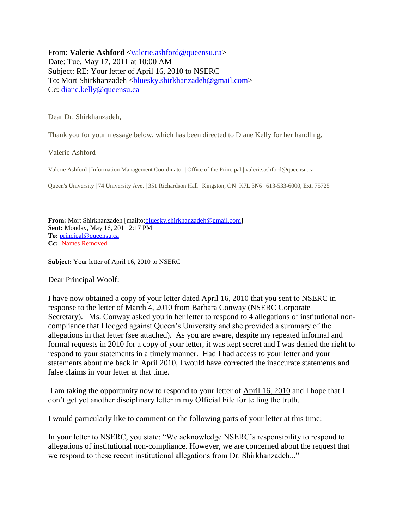From: **Valerie Ashford** [<valerie.ashford@queensu.ca>](mailto:valerie.ashford@queensu.ca) Date: Tue, May 17, 2011 at 10:00 AM Subject: RE: Your letter of April 16, 2010 to NSERC To: Mort Shirkhanzadeh [<bluesky.shirkhanzadeh@gmail.com>](mailto:bluesky.shirkhanzadeh@gmail.com) Cc: [diane.kelly@queensu.ca](mailto:diane.kelly@queensu.ca)

Dear Dr. Shirkhanzadeh,

Thank you for your message below, which has been directed to Diane Kelly for her handling.

Valerie Ashford

Valerie Ashford | Information Management Coordinator | Office of the Principal | [valerie.ashford@queensu.ca](mailto:valerie.ashford@queensu.ca)

Queen's University | 74 University Ave. | 351 Richardson Hall | Kingston, ON K7L 3N6 | 613-533-6000, Ext. 75725

**From:** Mort Shirkhanzadeh [mailto[:bluesky.shirkhanzadeh@gmail.com\]](mailto:bluesky.shirkhanzadeh@gmail.com) **Sent:** Monday, May 16, 2011 2:17 PM **To:** [principal@queensu.ca](mailto:principal@queensu.ca) **Cc:** Names Removed

**Subject:** Your letter of April 16, 2010 to NSERC

Dear Principal Woolf:

I have now obtained a copy of your letter dated April 16, 2010 that you sent to NSERC in response to the letter of March 4, 2010 from Barbara Conway (NSERC Corporate Secretary). Ms. Conway asked you in her letter to respond to 4 allegations of institutional noncompliance that I lodged against Queen's University and she provided a summary of the allegations in that letter (see attached). As you are aware, despite my repeated informal and formal requests in 2010 for a copy of your letter, it was kept secret and I was denied the right to respond to your statements in a timely manner. Had I had access to your letter and your statements about me back in April 2010, I would have corrected the inaccurate statements and false claims in your letter at that time.

I am taking the opportunity now to respond to your letter of April 16, 2010 and I hope that I don't get yet another disciplinary letter in my Official File for telling the truth.

I would particularly like to comment on the following parts of your letter at this time:

In your letter to NSERC, you state: "We acknowledge NSERC's responsibility to respond to allegations of institutional non-compliance. However, we are concerned about the request that we respond to these recent institutional allegations from Dr. Shirkhanzadeh..."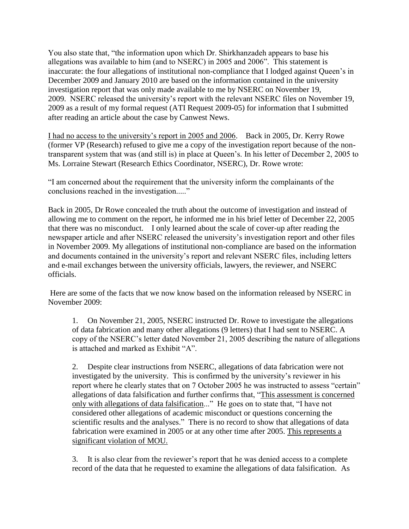You also state that, "the information upon which Dr. Shirkhanzadeh appears to base his allegations was available to him (and to NSERC) in 2005 and 2006". This statement is inaccurate: the four allegations of institutional non-compliance that I lodged against Queen's in December 2009 and January 2010 are based on the information contained in the university investigation report that was only made available to me by NSERC on November 19, 2009. NSERC released the university's report with the relevant NSERC files on November 19, 2009 as a result of my formal request (ATI Request 2009-05) for information that I submitted after reading an article about the case by Canwest News.

I had no access to the university's report in 2005 and 2006. Back in 2005, Dr. Kerry Rowe (former VP (Research) refused to give me a copy of the investigation report because of the nontransparent system that was (and still is) in place at Queen's. In his letter of December 2, 2005 to Ms. Lorraine Stewart (Research Ethics Coordinator, NSERC), Dr. Rowe wrote:

"I am concerned about the requirement that the university inform the complainants of the conclusions reached in the investigation....."

Back in 2005, Dr Rowe concealed the truth about the outcome of investigation and instead of allowing me to comment on the report, he informed me in his brief letter of December 22, 2005 that there was no misconduct. I only learned about the scale of cover-up after reading the newspaper article and after NSERC released the university's investigation report and other files in November 2009. My allegations of institutional non-compliance are based on the information and documents contained in the university's report and relevant NSERC files, including letters and e-mail exchanges between the university officials, lawyers, the reviewer, and NSERC officials.

Here are some of the facts that we now know based on the information released by NSERC in November 2009:

1. On November 21, 2005, NSERC instructed Dr. Rowe to investigate the allegations of data fabrication and many other allegations (9 letters) that I had sent to NSERC. A copy of the NSERC's letter dated November 21, 2005 describing the nature of allegations is attached and marked as Exhibit "A".

2. Despite clear instructions from NSERC, allegations of data fabrication were not investigated by the university. This is confirmed by the university's reviewer in his report where he clearly states that on 7 October 2005 he was instructed to assess "certain" allegations of data falsification and further confirms that, "This assessment is concerned only with allegations of data falsification..." He goes on to state that, "I have not considered other allegations of academic misconduct or questions concerning the scientific results and the analyses." There is no record to show that allegations of data fabrication were examined in 2005 or at any other time after 2005. This represents a significant violation of MOU.

3. It is also clear from the reviewer's report that he was denied access to a complete record of the data that he requested to examine the allegations of data falsification. As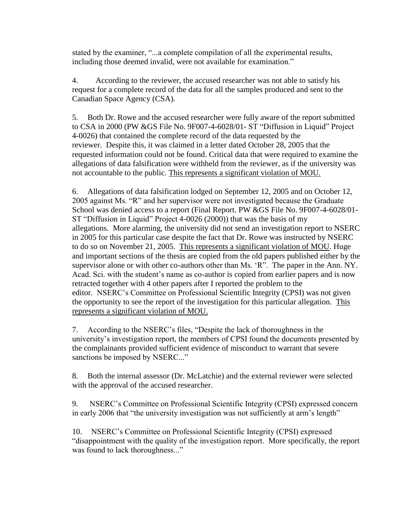stated by the examiner, "...a complete compilation of all the experimental results, including those deemed invalid, were not available for examination."

4. According to the reviewer, the accused researcher was not able to satisfy his request for a complete record of the data for all the samples produced and sent to the Canadian Space Agency (CSA).

5. Both Dr. Rowe and the accused researcher were fully aware of the report submitted to CSA in 2000 (PW &GS File No. 9F007-4-6028/01- ST "Diffusion in Liquid" Project 4-0026) that contained the complete record of the data requested by the reviewer. Despite this, it was claimed in a letter dated October 28, 2005 that the requested information could not be found. Critical data that were required to examine the allegations of data falsification were withheld from the reviewer, as if the university was not accountable to the public. This represents a significant violation of MOU.

6. Allegations of data falsification lodged on September 12, 2005 and on October 12, 2005 against Ms. "R" and her supervisor were not investigated because the Graduate School was denied access to a report (Final Report. PW &GS File No. 9F007-4-6028/01- ST "Diffusion in Liquid" Project 4-0026 (2000)) that was the basis of my allegations. More alarming, the university did not send an investigation report to NSERC in 2005 for this particular case despite the fact that Dr. Rowe was instructed by NSERC to do so on November 21, 2005. This represents a significant violation of MOU. Huge and important sections of the thesis are copied from the old papers published either by the supervisor alone or with other co-authors other than Ms. 'R". The paper in the Ann. NY. Acad. Sci. with the student's name as co-author is copied from earlier papers and is now retracted together with 4 other papers after I reported the problem to the editor. NSERC's Committee on Professional Scientific Integrity (CPSI) was not given the opportunity to see the report of the investigation for this particular allegation. This represents a significant violation of MOU.

7. According to the NSERC's files, "Despite the lack of thoroughness in the university's investigation report, the members of CPSI found the documents presented by the complainants provided sufficient evidence of misconduct to warrant that severe sanctions be imposed by NSERC..."

8. Both the internal assessor (Dr. McLatchie) and the external reviewer were selected with the approval of the accused researcher.

9. NSERC's Committee on Professional Scientific Integrity (CPSI) expressed concern in early 2006 that "the university investigation was not sufficiently at arm's length"

10. NSERC's Committee on Professional Scientific Integrity (CPSI) expressed "disappointment with the quality of the investigation report. More specifically, the report was found to lack thoroughness..."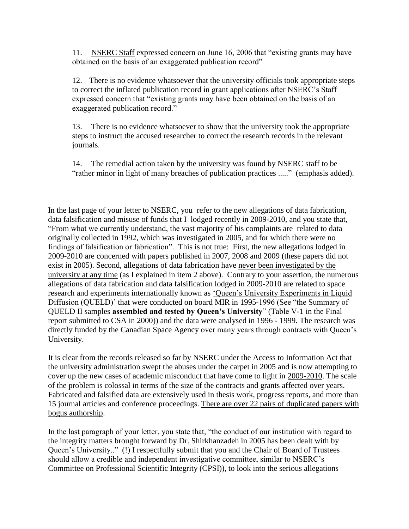11. NSERC Staff expressed concern on June 16, 2006 that "existing grants may have obtained on the basis of an exaggerated publication record"

12. There is no evidence whatsoever that the university officials took appropriate steps to correct the inflated publication record in grant applications after NSERC's Staff expressed concern that "existing grants may have been obtained on the basis of an exaggerated publication record."

13. There is no evidence whatsoever to show that the university took the appropriate steps to instruct the accused researcher to correct the research records in the relevant journals.

14. The remedial action taken by the university was found by NSERC staff to be "rather minor in light of many breaches of publication practices ....." (emphasis added).

In the last page of your letter to NSERC, you refer to the new allegations of data fabrication, data falsification and misuse of funds that I lodged recently in 2009-2010, and you state that, "From what we currently understand, the vast majority of his complaints are related to data originally collected in 1992, which was investigated in 2005, and for which there were no findings of falsification or fabrication". This is not true: First, the new allegations lodged in 2009-2010 are concerned with papers published in 2007, 2008 and 2009 (these papers did not exist in 2005). Second, allegations of data fabrication have never been investigated by the university at any time (as I explained in item 2 above). Contrary to your assertion, the numerous allegations of data fabrication and data falsification lodged in 2009-2010 are related to space research and experiments internationally known as 'Queen's University Experiments in Liquid Diffusion (QUELD)' that were conducted on board MIR in 1995-1996 (See "the Summary of QUELD II samples **assembled and tested by Queen's University**" (Table V-1 in the Final report submitted to CSA in 2000)) and the data were analysed in 1996 - 1999. The research was directly funded by the Canadian Space Agency over many years through contracts with Queen's University.

It is clear from the records released so far by NSERC under the Access to Information Act that the university administration swept the abuses under the carpet in 2005 and is now attempting to cover up the new cases of academic misconduct that have come to light in 2009-2010. The scale of the problem is colossal in terms of the size of the contracts and grants affected over years. Fabricated and falsified data are extensively used in thesis work, progress reports, and more than 15 journal articles and conference proceedings. There are over 22 pairs of duplicated papers with bogus authorship.

In the last paragraph of your letter, you state that, "the conduct of our institution with regard to the integrity matters brought forward by Dr. Shirkhanzadeh in 2005 has been dealt with by Queen's University.." (!) I respectfully submit that you and the Chair of Board of Trustees should allow a credible and independent investigative committee, similar to NSERC's Committee on Professional Scientific Integrity (CPSI)), to look into the serious allegations